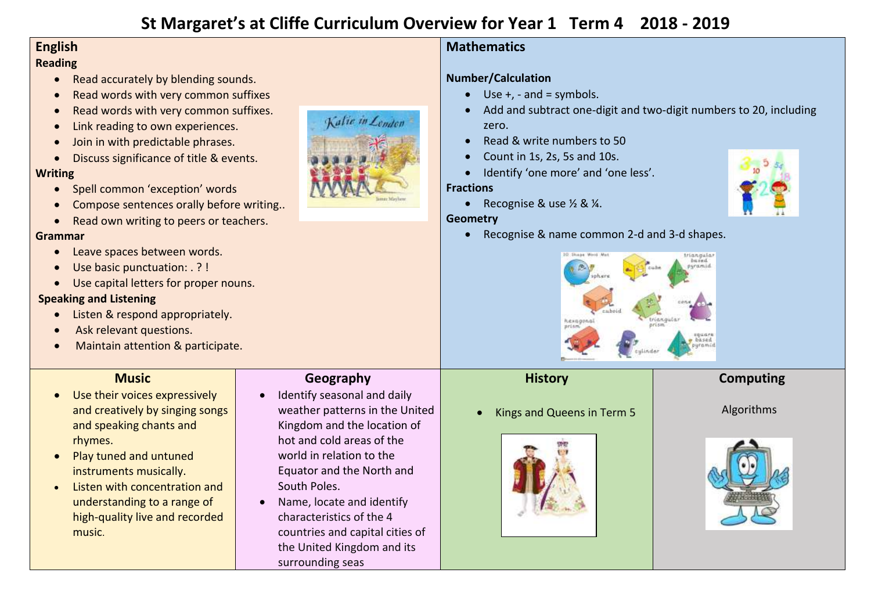# **St Margaret's at Cliffe Curriculum Overview for Year 1 Term 4 2018 - 2019**

# **English**

#### **Reading**

- Read accurately by blending sounds.
- Read words with very common suffixes
- Read words with very common suffixes.
- Link reading to own experiences.
- Join in with predictable phrases.
- Discuss significance of title & events.

#### **Writing**

- Spell common 'exception' words
- Compose sentences orally before writing..
- Read own writing to peers or teachers.

#### **Grammar**

- Leave spaces between words.
- Use basic punctuation: . ? !
- Use capital letters for proper nouns.

#### **Speaking and Listening**

- Listen & respond appropriately.
- Ask relevant questions.
- Maintain attention & participate.

### **Music**

- Use their voices expressively and creatively by singing songs and speaking chants and rhymes.
- Play tuned and untuned instruments musically.
- Listen with concentration and understanding to a range of high-quality live and recorded music.

# **Geography**

Kalie in London

- Identify seasonal and daily weather patterns in the United Kingdom and the location of hot and cold areas of the world in relation to the Equator and the North and South Poles.
- Name, locate and identify characteristics of the 4 countries and capital cities of the United Kingdom and its surrounding seas

# **Mathematics**

### **Number/Calculation**

- $\bullet$  Use +, and = symbols.
- Add and subtract one-digit and two-digit numbers to 20, including zero.
- Read & write numbers to 50
- Count in 1s, 2s, 5s and 10s.
- Identify 'one more' and 'one less'.

#### **Fractions**

• Recognise & use  $\frac{1}{2}$  &  $\frac{1}{4}$ .

### **Geometry**

Recognise & name common 2-d and 3-d shapes.



# **History**

Kings and Queens in Term 5



# **Computing**

Algorithms